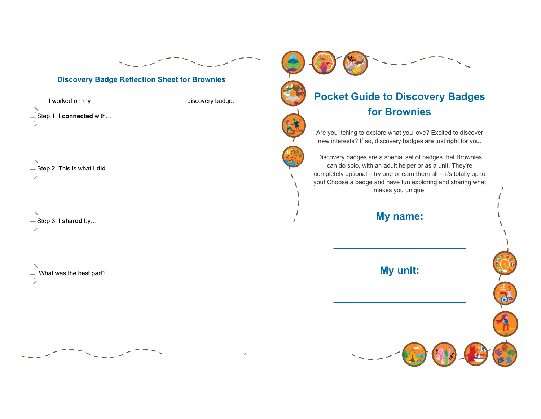

#### **Discovery Badge Reflection Sheet for Brownies**

I worked on my \_\_\_\_\_\_\_\_\_\_\_\_\_\_\_\_\_\_\_\_\_\_\_\_\_\_\_ discovery badge. Step 1: I **connected** with…

Step 2: This is what I **did**…

Step 3: I **shared** by…

What was the best part?





**Pocket Guide to Discovery Badges for Brownies** Are you itching to explore what you love? Excited to discover new interests? If so, discovery badges are just right for you.

Discovery badges are a special set of badges that Brownies can do solo, with an adult helper or as a unit. They're completely optional – try one or earn them all – it's totally up to you! Choose a badge and have fun exploring and sharing what makes you unique.

**My name:**

**\_\_\_\_\_\_\_\_\_\_\_\_\_\_\_\_\_\_\_\_\_\_\_**

**My unit:**

**\_\_\_\_\_\_\_\_\_\_\_\_\_\_\_\_\_\_\_\_\_\_\_**

 $\odot$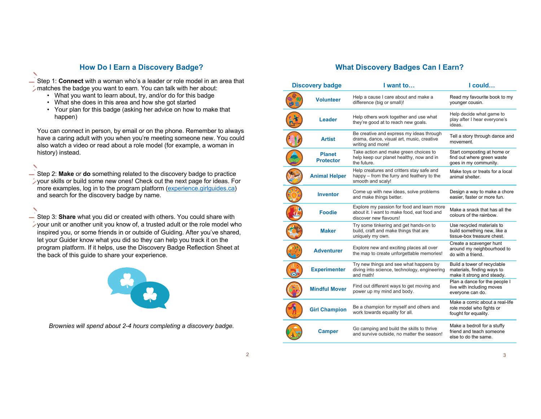#### **How Do I Earn a Discovery Badge?**

Step 1: **Connect** with a woman who's a leader or role model in an area that matches the badge you want to earn. You can talk with her about:

- What you want to learn about, try, and/or do for this badge
- What she does in this area and how she got started
- Your plan for this badge (asking her advice on how to make that happen)

You can connect in person, by email or on the phone. Remember to always have a caring adult with you when you're meeting someone new. You could also watch a video or read about a role model (for example, a woman in history) instead.

Step 2: **Make** or **do** something related to the discovery badge to practice your skills or build some new ones! Check out the next page for ideas. For more examples, log in to the program platform (experience.girlguides.ca) and search for the discovery badge by name.

Step 3: **Share** what you did or created with others. You could share with your unit or another unit you know of, a trusted adult or the role model who inspired you, or some friends in or outside of Guiding. After you've shared, let your Guider know what you did so they can help you track it on the program platform. If it helps, use the Discovery Badge Reflection Sheet at the back of this guide to share your experience.



*Brownies will spend about 2-4 hours completing a discovery badge.*

## **What Discovery Badges Can I Earn?**

| <b>Discovery badge</b> |                                   | I want to                                                                                                           | I could                                                                                 |
|------------------------|-----------------------------------|---------------------------------------------------------------------------------------------------------------------|-----------------------------------------------------------------------------------------|
|                        | <b>Volunteer</b>                  | Help a cause I care about and make a<br>difference (big or small)!                                                  | Read my favourite book to my<br>younger cousin.                                         |
|                        | Leader                            | Help others work together and use what<br>they're good at to reach new goals.                                       | Help decide what game to<br>play after I hear everyone's<br>ideas.                      |
|                        | <b>Artist</b>                     | Be creative and express my ideas through<br>drama, dance, visual art, music, creative<br>writing and more!          | Tell a story through dance and<br>movement.                                             |
|                        | <b>Planet</b><br><b>Protector</b> | Take action and make green choices to<br>help keep our planet healthy, now and in<br>the future.                    | Start composting at home or<br>find out where green waste<br>goes in my community.      |
|                        | <b>Animal Helper</b>              | Help creatures and critters stay safe and<br>happy – from the furry and feathery to the<br>smooth and scaly!        | Make toys or treats for a local<br>animal shelter.                                      |
|                        | <b>Inventor</b>                   | Come up with new ideas, solve problems<br>and make things better.                                                   | Design a way to make a chore<br>easier, faster or more fun.                             |
|                        | <b>Foodie</b>                     | Explore my passion for food and learn more<br>about it. I want to make food, eat food and<br>discover new flavours! | Make a snack that has all the<br>colours of the rainbow.                                |
|                        | <b>Maker</b>                      | Try some tinkering and get hands-on to<br>build, craft and make things that are<br>uniquely my own.                 | Use recycled materials to<br>build something new, like a<br>tissue-box treasure chest.  |
|                        | <b>Adventurer</b>                 | Explore new and exciting places all over<br>the map to create unforgettable memories!                               | Create a scavenger hunt<br>around my neighbourhood to<br>do with a friend.              |
|                        | <b>Experimenter</b>               | Try new things and see what happens by<br>diving into science, technology, engineering<br>and math!                 | Build a tower of recyclable<br>materials, finding ways to<br>make it strong and steady. |
|                        | <b>Mindful Mover</b>              | Find out different ways to get moving and<br>power up my mind and body.                                             | Plan a dance for the people I<br>live with including moves<br>everyone can do.          |
|                        | <b>Girl Champion</b>              | Be a champion for myself and others and<br>work towards equality for all.                                           | Make a comic about a real-life<br>role model who fights or<br>fought for equality.      |
|                        | Camper                            | Go camping and build the skills to thrive<br>and survive outside, no matter the season!                             | Make a bedroll for a stuffy<br>friend and teach someone<br>else to do the same.         |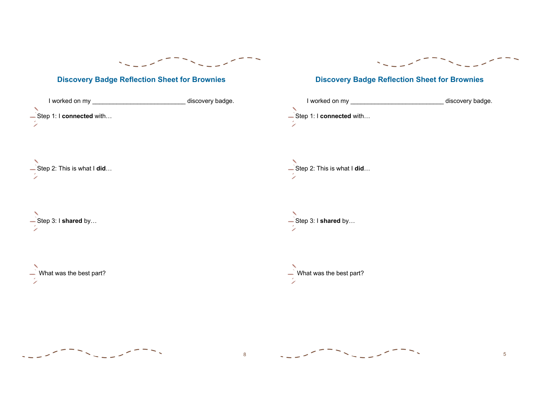

## **Discovery Badge Reflection Sheet for Brownies**

|                                   | discovery badge. |
|-----------------------------------|------------------|
| -Step 1: I connected with         |                  |
|                                   |                  |
|                                   |                  |
| -Step 2: This is what I did       |                  |
|                                   |                  |
| $\frac{1}{2}$ Step 3: I shared by |                  |
|                                   |                  |
|                                   |                  |



# **Discovery Badge Reflection Sheet for Brownies**



↖ Step 2: This is what I **did**…

Step 3: I **shared** by…

 $\overrightarrow{ }$  What was the best part?



8



5